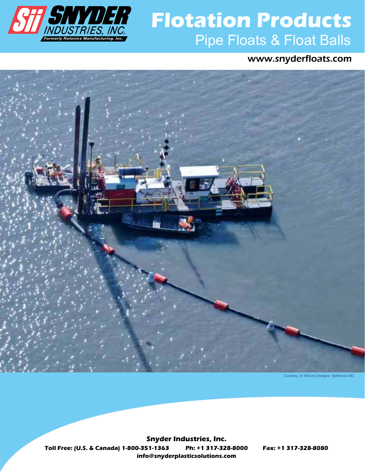

# **Pipe Flotation Products**<br>*INDUSTRIES, INC.*<br>Formerly Rotonics Manufacturing, Inc. **Flotation Products**

www.snyderfloats.com



Courtesy of: Ellicott Dredges/ Baltimore MD

**info@snyderplasticsolutions.com Toll Free: (U.S. & Canada) 1-800-351-1363 Ph: +1 317-328-8000 Fax: +1 317-328-8080 Snyder Industries, Inc.**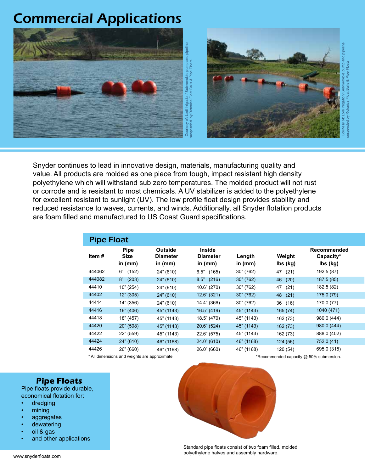# Commercial Applications

![](_page_1_Picture_1.jpeg)

Snyder continues to lead in innovative design, materials, manufacturing quality and value. All products are molded as one piece from tough, impact resistant high density polyethylene which will withstand sub zero temperatures. The molded product will not rust or corrode and is resistant to most chemicals. A UV stabilizer is added to the polyethylene for excellent resistant to sunlight (UV). The low profile float design provides stability and reduced resistance to waves, currents, and winds. Additionally, all Snyder flotation products are foam filled and manufactured to US Coast Guard specifications.

| <b>Pipe Float</b> |                                         |                                                |                                        |                     |                    |                                      |  |
|-------------------|-----------------------------------------|------------------------------------------------|----------------------------------------|---------------------|--------------------|--------------------------------------|--|
| Item#             | <b>Pipe</b><br><b>Size</b><br>in $(mm)$ | <b>Outside</b><br><b>Diameter</b><br>in $(mm)$ | Inside<br><b>Diameter</b><br>in $(mm)$ | Length<br>in $(mm)$ | Weight<br>lbs (kg) | Recommended<br>Capacity*<br>lbs (kg) |  |
| 444062            | 6"<br>(152)                             | 24" (610)                                      | 6.5"<br>(165)                          | 30" (762)           | (21)<br>47         | 192.5 (87)                           |  |
| 444082            | 8"<br>(203)                             | 24" (610)                                      | $8.5"$ (216)                           | 30''(762)           | 46<br>(20)         | 187.5(85)                            |  |
| 44410             | 10" (254)                               | 24" (610)                                      | 10.6" (270)                            | 30" (762)           | 47<br>(21)         | 182.5 (82)                           |  |
| 44402             | 12" (305)                               | 24" (610)                                      | $12.6$ " (321)                         | 30" (762)           | 48<br>(21)         | 175.0 (79)                           |  |
| 44414             | 14" (356)                               | 24" (610)                                      | 14.4" (366)                            | 30" (762)           | (16)<br>36         | 170.0 (77)                           |  |
| 44416             | 16" (406)                               | 45" (1143)                                     | $16.5$ " (419)                         | 45" (1143)          | 165(74)            | 1040 (471)                           |  |
| 44418             | 18" (457)                               | 45" (1143)                                     | 18.5" (470)                            | 45" (1143)          | 162 (73)           | 980.0 (444)                          |  |
| 44420             | 20" (508)                               | 45" (1143)                                     | 20.6" (524)                            | 45" (1143)          | 162 (73)           | 980.0 (444)                          |  |
| 44422             | 22" (559)                               | 45" (1143)                                     | 22.6" (575)                            | 45" (1143)          | 162 (73)           | 888.0 (402)                          |  |
| 44424             | 24" (610)                               | 46" (1168)                                     | 24.0" (610)                            | 46" (1168)          | 124(56)            | 752.0 (41)                           |  |
| 44426             | 26" (660)                               | 46" (1168)                                     | 26.0" (660)                            | 46" (1168)          | 120 (54)           | 695.0 (315)                          |  |

\* All dimensions and weights are approximate the state of the state of the state of the state of the state of the state  $\ast$ Recommended capacity @ 50% submersion.

#### **Pipe Floats**

Pipe floats provide durable, economical flotation for:

- dredging
- mining
- aggregates
- dewatering
- oil & gas
- and other applications

![](_page_1_Picture_14.jpeg)

Standard pipe floats consist of two foam filled, molded polyethylene halves and assembly hardware.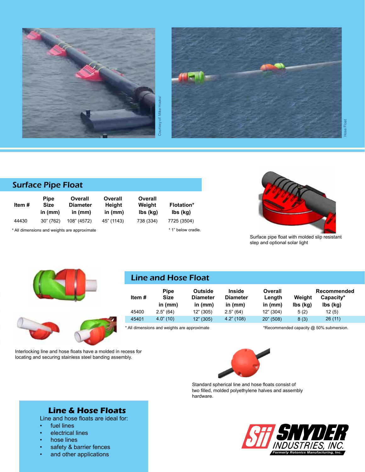![](_page_2_Picture_0.jpeg)

![](_page_2_Picture_1.jpeg)

# Surface Pipe Float

| Item # | <b>Pipe</b><br><b>Size</b><br>in $(mm)$ | Overall<br><b>Diameter</b><br>in $(mm)$ | Overall<br>Height<br>in $(mm)$ | Overall<br>Weight<br>lbs (kg) | <b>Flotation*</b><br>lbs (kg) |
|--------|-----------------------------------------|-----------------------------------------|--------------------------------|-------------------------------|-------------------------------|
| 44430  | 30" (762)                               | 108" (4572)                             | 45" (1143)                     | 738 (334)                     | 7725 (3504)                   |

\* All dimensions and weights are approximate

\* 1" below cradle.

![](_page_2_Picture_7.jpeg)

Surface pipe float with molded slip resistant step and optional solar light

![](_page_2_Picture_9.jpeg)

Interlocking line and hose floats have a molded in recess for locating and securing stainless steel banding assembly.

![](_page_2_Picture_12.jpeg)

Line and Hose Float

|        | <b>Pipe</b>  | <b>Outside</b>  | <b>Inside</b>   | Overall   | Recommended |           |
|--------|--------------|-----------------|-----------------|-----------|-------------|-----------|
| Item # | Size         | <b>Diameter</b> | <b>Diameter</b> | Length    | Weiaht      | Capacity* |
|        | in $(mm)$    | in $(mm)$       | in $(mm)$       | in $(mm)$ | lbs (kg)    | lbs (kg)  |
| 45400  | 2.5" (64)    | 12" (305)       | 2.5" (64)       | 12" (304) | 5(2)        | 12(5)     |
| 45401  | $4.0$ " (10) | 12" (305)       | $4.2$ " (108)   | 20" (508) | 8(3)        | 26(11)    |

\* All dimensions and weights are approximate

\*Recommended capacity @ 50% submersion.

![](_page_2_Picture_16.jpeg)

Standard spherical line and hose floats consist of two filled, molded polyethylene halves and assembly hardware.

![](_page_2_Picture_18.jpeg)

# **Line & Hose Floats**

Line and hose floats are ideal for:

- fuel lines
- electrical lines
- hose lines
- safety & barrier fences
- and other applications